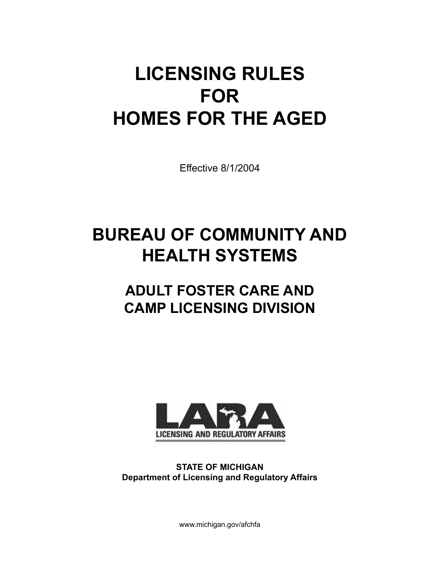# **LICENSING RULES FOR HOMES FOR THE AGED**

Effective 8/1/2004

# **BUREAU OF COMMUNITY AND HEALTH SYSTEMS**

# **ADULT FOSTER CARE AND CAMP LICENSING DIVISION**



**STATE OF MICHIGAN Department of Licensing and Regulatory Affairs**

www.michigan.gov/afchfa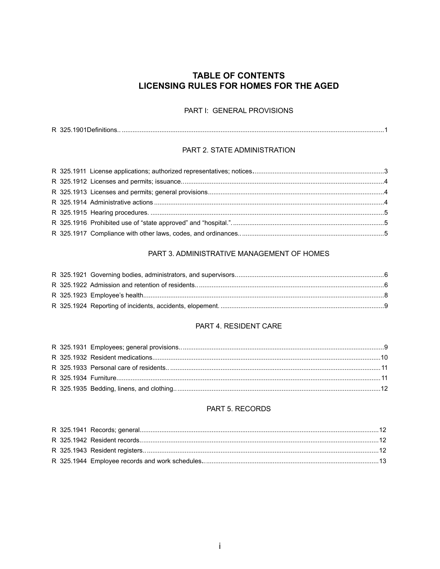# **TABLE OF CONTENTS** LICENSING RULES FOR HOMES FOR THE AGED

#### PART I: GENERAL PROVISIONS

#### PART 2. STATE ADMINISTRATION

#### PART 3. ADMINISTRATIVE MANAGEMENT OF HOMES

#### PART 4. RESIDENT CARE

#### PART 5. RECORDS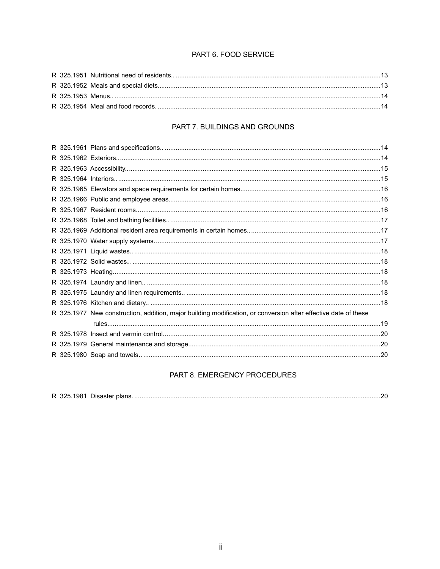#### PART 6. FOOD SERVICE

#### PART 7. BUILDINGS AND GROUNDS

|  | R 325.1977 New construction, addition, major building modification, or conversion after effective date of these |  |
|--|-----------------------------------------------------------------------------------------------------------------|--|
|  |                                                                                                                 |  |
|  |                                                                                                                 |  |
|  |                                                                                                                 |  |
|  |                                                                                                                 |  |
|  |                                                                                                                 |  |

#### PART 8. EMERGENCY PROCEDURES

|--|--|--|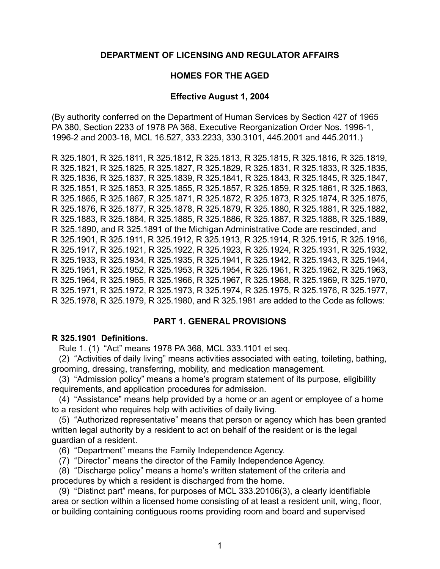#### **DEPARTMENT OF licensing and regulator affairs**

#### **HOMES FOR THE AGED**

#### **Effective August 1, 2004**

(By authority conferred on the Department of Human Services by Section 427 of 1965 PA 380, Section 2233 of 1978 PA 368, Executive Reorganization Order Nos. 1996-1, 1996-2 and 2003-18, MCL 16.527, 333.2233, 330.3101, 445.2001 and 445.2011.)

R 325.1801, R 325.1811, R 325.1812, R 325.1813, R 325.1815, R 325.1816, R 325.1819, R 325.1821, R 325.1825, R 325.1827, R 325.1829, R 325.1831, R 325.1833, R 325.1835, R 325.1836, R 325.1837, R 325.1839, R 325.1841, R 325.1843, R 325.1845, R 325.1847, R 325.1851, R 325.1853, R 325.1855, R 325.1857, R 325.1859, R 325.1861, R 325.1863, R 325.1865, R 325.1867, R 325.1871, R 325.1872, R 325.1873, R 325.1874, R 325.1875, R 325.1876, R 325.1877, R 325.1878, R 325.1879, R 325.1880, R 325.1881, R 325.1882, R 325.1883, R 325.1884, R 325.1885, R 325.1886, R 325.1887, R 325.1888, R 325.1889, R 325.1890, and R 325.1891 of the Michigan Administrative Code are rescinded, and R 325.1901, R 325.1911, R 325.1912, R 325.1913, R 325.1914, R 325.1915, R 325.1916, R 325.1917, R 325.1921, R 325.1922, R 325.1923, R 325.1924, R 325.1931, R 325.1932, R 325.1933, R 325.1934, R 325.1935, R 325.1941, R 325.1942, R 325.1943, R 325.1944, R 325.1951, R 325.1952, R 325.1953, R 325.1954, R 325.1961, R 325.1962, R 325.1963, R 325.1964, R 325.1965, R 325.1966, R 325.1967, R 325.1968, R 325.1969, R 325.1970, R 325.1971, R 325.1972, R 325.1973, R 325.1974, R 325.1975, R 325.1976, R 325.1977, R 325.1978, R 325.1979, R 325.1980, and R 325.1981 are added to the Code as follows:

#### **PART 1. GENERAL PROVISIONS**

#### **R 325.1901 Definitions.**

Rule 1. (1) "Act" means 1978 PA 368, MCL 333.1101 et seq.

 (2) "Activities of daily living" means activities associated with eating, toileting, bathing, grooming, dressing, transferring, mobility, and medication management.

 (3) "Admission policy" means a home's program statement of its purpose, eligibility requirements, and application procedures for admission.

 (4) "Assistance" means help provided by a home or an agent or employee of a home to a resident who requires help with activities of daily living.

 (5) "Authorized representative" means that person or agency which has been granted written legal authority by a resident to act on behalf of the resident or is the legal guardian of a resident.

(6) "Department" means the Family Independence Agency.

(7) "Director" means the director of the Family Independence Agency.

 (8) "Discharge policy" means a home's written statement of the criteria and procedures by which a resident is discharged from the home.

 (9) "Distinct part" means, for purposes of MCL 333.20106(3), a clearly identifiable area or section within a licensed home consisting of at least a resident unit, wing, floor, or building containing contiguous rooms providing room and board and supervised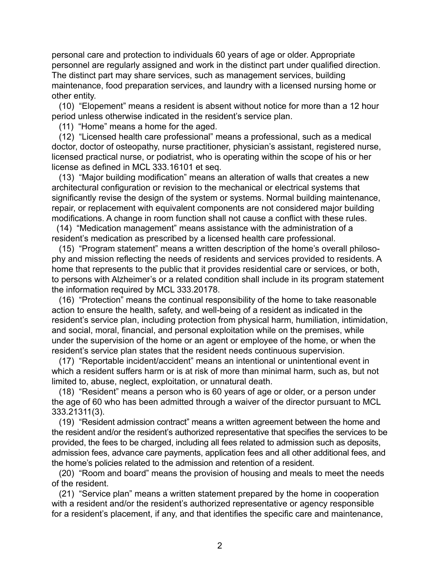personal care and protection to individuals 60 years of age or older. Appropriate personnel are regularly assigned and work in the distinct part under qualified direction. The distinct part may share services, such as management services, building maintenance, food preparation services, and laundry with a licensed nursing home or other entity.

 (10) "Elopement" means a resident is absent without notice for more than a 12 hour period unless otherwise indicated in the resident's service plan.

(11) "Home" means a home for the aged.

 (12) "Licensed health care professional" means a professional, such as a medical doctor, doctor of osteopathy, nurse practitioner, physician's assistant, registered nurse, licensed practical nurse, or podiatrist, who is operating within the scope of his or her license as defined in MCL 333.16101 et seq.

 (13) "Major building modification" means an alteration of walls that creates a new architectural configuration or revision to the mechanical or electrical systems that significantly revise the design of the system or systems. Normal building maintenance, repair, or replacement with equivalent components are not considered major building modifications. A change in room function shall not cause a conflict with these rules.

 (14) "Medication management" means assistance with the administration of a resident's medication as prescribed by a licensed health care professional.

 (15) "Program statement" means a written description of the home's overall philosophy and mission reflecting the needs of residents and services provided to residents. A home that represents to the public that it provides residential care or services, or both, to persons with Alzheimer's or a related condition shall include in its program statement the information required by MCL 333.20178.

 (16) "Protection" means the continual responsibility of the home to take reasonable action to ensure the health, safety, and well-being of a resident as indicated in the resident's service plan, including protection from physical harm, humiliation, intimidation, and social, moral, financial, and personal exploitation while on the premises, while under the supervision of the home or an agent or employee of the home, or when the resident's service plan states that the resident needs continuous supervision.

 (17) "Reportable incident/accident" means an intentional or unintentional event in which a resident suffers harm or is at risk of more than minimal harm, such as, but not limited to, abuse, neglect, exploitation, or unnatural death.

 (18) "Resident" means a person who is 60 years of age or older, or a person under the age of 60 who has been admitted through a waiver of the director pursuant to MCL 333.21311(3).

 (19) "Resident admission contract" means a written agreement between the home and the resident and/or the resident's authorized representative that specifies the services to be provided, the fees to be charged, including all fees related to admission such as deposits, admission fees, advance care payments, application fees and all other additional fees, and the home's policies related to the admission and retention of a resident.

 (20) "Room and board" means the provision of housing and meals to meet the needs of the resident.

 (21) "Service plan" means a written statement prepared by the home in cooperation with a resident and/or the resident's authorized representative or agency responsible for a resident's placement, if any, and that identifies the specific care and maintenance,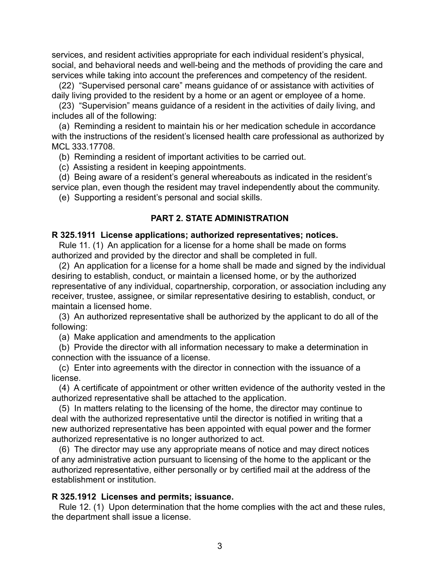services, and resident activities appropriate for each individual resident's physical, social, and behavioral needs and well-being and the methods of providing the care and services while taking into account the preferences and competency of the resident.

 (22) "Supervised personal care" means guidance of or assistance with activities of daily living provided to the resident by a home or an agent or employee of a home.

 (23) "Supervision" means guidance of a resident in the activities of daily living, and includes all of the following:

 (a) Reminding a resident to maintain his or her medication schedule in accordance with the instructions of the resident's licensed health care professional as authorized by MCL 333.17708.

(b) Reminding a resident of important activities to be carried out.

(c) Assisting a resident in keeping appointments.

 (d) Being aware of a resident's general whereabouts as indicated in the resident's service plan, even though the resident may travel independently about the community.

(e) Supporting a resident's personal and social skills.

#### **PART 2. STATE ADMINISTRATION**

#### **R 325.1911 License applications; authorized representatives; notices.**

 Rule 11. (1) An application for a license for a home shall be made on forms authorized and provided by the director and shall be completed in full.

 (2) An application for a license for a home shall be made and signed by the individual desiring to establish, conduct, or maintain a licensed home, or by the authorized representative of any individual, copartnership, corporation, or association including any receiver, trustee, assignee, or similar representative desiring to establish, conduct, or maintain a licensed home.

 (3) An authorized representative shall be authorized by the applicant to do all of the following:

(a) Make application and amendments to the application

 (b) Provide the director with all information necessary to make a determination in connection with the issuance of a license.

 (c) Enter into agreements with the director in connection with the issuance of a license.

 (4) A certificate of appointment or other written evidence of the authority vested in the authorized representative shall be attached to the application.

 (5) In matters relating to the licensing of the home, the director may continue to deal with the authorized representative until the director is notified in writing that a new authorized representative has been appointed with equal power and the former authorized representative is no longer authorized to act.

 (6) The director may use any appropriate means of notice and may direct notices of any administrative action pursuant to licensing of the home to the applicant or the authorized representative, either personally or by certified mail at the address of the establishment or institution.

#### **R 325.1912 Licenses and permits; issuance.**

 Rule 12. (1) Upon determination that the home complies with the act and these rules, the department shall issue a license.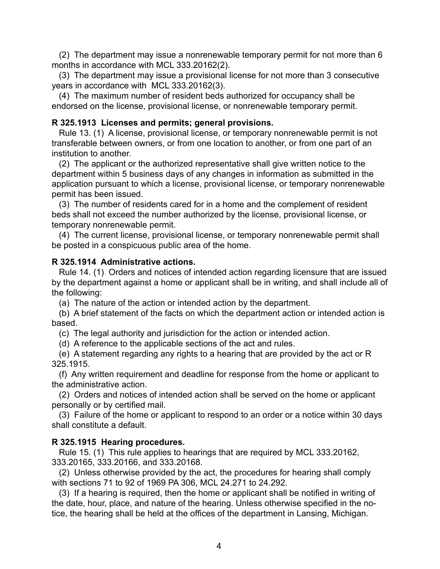(2) The department may issue a nonrenewable temporary permit for not more than 6 months in accordance with MCL 333.20162(2).

 (3) The department may issue a provisional license for not more than 3 consecutive years in accordance with MCL 333.20162(3).

 (4) The maximum number of resident beds authorized for occupancy shall be endorsed on the license, provisional license, or nonrenewable temporary permit.

# **R 325.1913 Licenses and permits; general provisions.**

 Rule 13. (1) A license, provisional license, or temporary nonrenewable permit is not transferable between owners, or from one location to another, or from one part of an institution to another.

 (2) The applicant or the authorized representative shall give written notice to the department within 5 business days of any changes in information as submitted in the application pursuant to which a license, provisional license, or temporary nonrenewable permit has been issued.

 (3) The number of residents cared for in a home and the complement of resident beds shall not exceed the number authorized by the license, provisional license, or temporary nonrenewable permit.

 (4) The current license, provisional license, or temporary nonrenewable permit shall be posted in a conspicuous public area of the home.

#### **R 325.1914 Administrative actions.**

 Rule 14. (1) Orders and notices of intended action regarding licensure that are issued by the department against a home or applicant shall be in writing, and shall include all of the following:

(a) The nature of the action or intended action by the department.

 (b) A brief statement of the facts on which the department action or intended action is based.

(c) The legal authority and jurisdiction for the action or intended action.

(d) A reference to the applicable sections of the act and rules.

 (e) A statement regarding any rights to a hearing that are provided by the act or R 325.1915.

 (f) Any written requirement and deadline for response from the home or applicant to the administrative action.

 (2) Orders and notices of intended action shall be served on the home or applicant personally or by certified mail.

 (3) Failure of the home or applicant to respond to an order or a notice within 30 days shall constitute a default.

#### **R 325.1915 Hearing procedures.**

 Rule 15. (1) This rule applies to hearings that are required by MCL 333.20162, 333.20165, 333.20166, and 333.20168.

 (2) Unless otherwise provided by the act, the procedures for hearing shall comply with sections 71 to 92 of 1969 PA 306, MCL 24.271 to 24.292.

 (3) If a hearing is required, then the home or applicant shall be notified in writing of the date, hour, place, and nature of the hearing. Unless otherwise specified in the notice, the hearing shall be held at the offices of the department in Lansing, Michigan.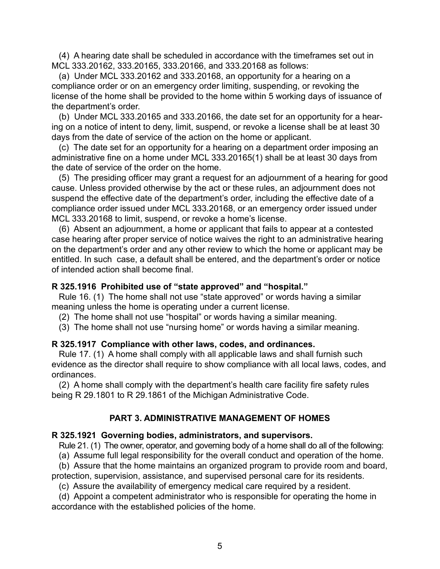(4) A hearing date shall be scheduled in accordance with the timeframes set out in MCL 333.20162, 333.20165, 333.20166, and 333.20168 as follows:

 (a) Under MCL 333.20162 and 333.20168, an opportunity for a hearing on a compliance order or on an emergency order limiting, suspending, or revoking the license of the home shall be provided to the home within 5 working days of issuance of the department's order.

 (b) Under MCL 333.20165 and 333.20166, the date set for an opportunity for a hearing on a notice of intent to deny, limit, suspend, or revoke a license shall be at least 30 days from the date of service of the action on the home or applicant.

 (c) The date set for an opportunity for a hearing on a department order imposing an administrative fine on a home under MCL 333.20165(1) shall be at least 30 days from the date of service of the order on the home.

 (5) The presiding officer may grant a request for an adjournment of a hearing for good cause. Unless provided otherwise by the act or these rules, an adjournment does not suspend the effective date of the department's order, including the effective date of a compliance order issued under MCL 333.20168, or an emergency order issued under MCL 333.20168 to limit, suspend, or revoke a home's license.

 (6) Absent an adjournment, a home or applicant that fails to appear at a contested case hearing after proper service of notice waives the right to an administrative hearing on the department's order and any other review to which the home or applicant may be entitled. In such case, a default shall be entered, and the department's order or notice of intended action shall become final.

# **R 325.1916 Prohibited use of "state approved" and "hospital."**

 Rule 16. (1) The home shall not use "state approved" or words having a similar meaning unless the home is operating under a current license.

(2) The home shall not use "hospital" or words having a similar meaning.

(3) The home shall not use "nursing home" or words having a similar meaning.

# **R 325.1917 Compliance with other laws, codes, and ordinances.**

 Rule 17. (1) A home shall comply with all applicable laws and shall furnish such evidence as the director shall require to show compliance with all local laws, codes, and ordinances.

 (2) A home shall comply with the department's health care facility fire safety rules being R 29.1801 to R 29.1861 of the Michigan Administrative Code.

# **PART 3. ADMINISTRATIVE MANAGEMENT OF HOMES**

# **R 325.1921 Governing bodies, administrators, and supervisors.**

Rule 21. (1) The owner, operator, and governing body of a home shall do all of the following:

(a) Assume full legal responsibility for the overall conduct and operation of the home.

 (b) Assure that the home maintains an organized program to provide room and board, protection, supervision, assistance, and supervised personal care for its residents.

(c) Assure the availability of emergency medical care required by a resident.

 (d) Appoint a competent administrator who is responsible for operating the home in accordance with the established policies of the home.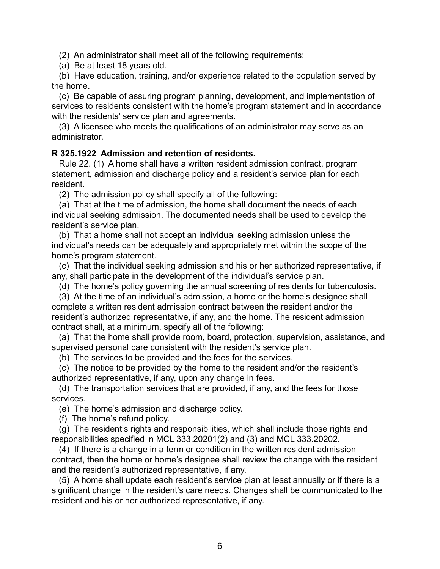(2) An administrator shall meet all of the following requirements:

(a) Be at least 18 years old.

 (b) Have education, training, and/or experience related to the population served by the home.

 (c) Be capable of assuring program planning, development, and implementation of services to residents consistent with the home's program statement and in accordance with the residents' service plan and agreements.

 (3) A licensee who meets the qualifications of an administrator may serve as an administrator.

# **R 325.1922 Admission and retention of residents.**

 Rule 22. (1) A home shall have a written resident admission contract, program statement, admission and discharge policy and a resident's service plan for each resident.

(2) The admission policy shall specify all of the following:

 (a) That at the time of admission, the home shall document the needs of each individual seeking admission. The documented needs shall be used to develop the resident's service plan.

 (b) That a home shall not accept an individual seeking admission unless the individual's needs can be adequately and appropriately met within the scope of the home's program statement.

 (c) That the individual seeking admission and his or her authorized representative, if any, shall participate in the development of the individual's service plan.

(d) The home's policy governing the annual screening of residents for tuberculosis.

 (3) At the time of an individual's admission, a home or the home's designee shall complete a written resident admission contract between the resident and/or the resident's authorized representative, if any, and the home. The resident admission contract shall, at a minimum, specify all of the following:

 (a) That the home shall provide room, board, protection, supervision, assistance, and supervised personal care consistent with the resident's service plan.

(b) The services to be provided and the fees for the services.

 (c) The notice to be provided by the home to the resident and/or the resident's authorized representative, if any, upon any change in fees.

 (d) The transportation services that are provided, if any, and the fees for those services.

(e) The home's admission and discharge policy.

(f) The home's refund policy.

 (g) The resident's rights and responsibilities, which shall include those rights and responsibilities specified in MCL 333.20201(2) and (3) and MCL 333.20202.

 (4) If there is a change in a term or condition in the written resident admission contract, then the home or home's designee shall review the change with the resident and the resident's authorized representative, if any.

 (5) A home shall update each resident's service plan at least annually or if there is a significant change in the resident's care needs. Changes shall be communicated to the resident and his or her authorized representative, if any.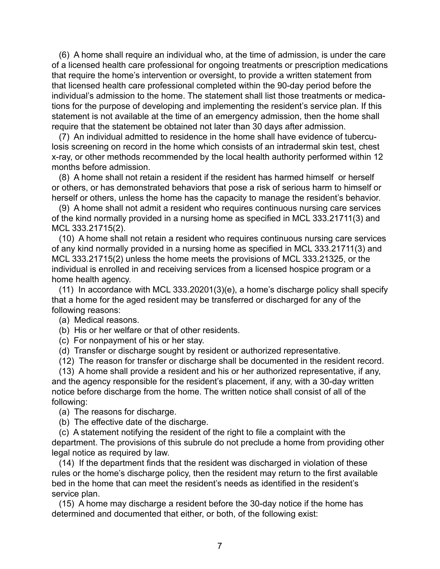(6) A home shall require an individual who, at the time of admission, is under the care of a licensed health care professional for ongoing treatments or prescription medications that require the home's intervention or oversight, to provide a written statement from that licensed health care professional completed within the 90-day period before the individual's admission to the home. The statement shall list those treatments or medications for the purpose of developing and implementing the resident's service plan. If this statement is not available at the time of an emergency admission, then the home shall require that the statement be obtained not later than 30 days after admission.

 (7) An individual admitted to residence in the home shall have evidence of tuberculosis screening on record in the home which consists of an intradermal skin test, chest x-ray, or other methods recommended by the local health authority performed within 12 months before admission.

 (8) A home shall not retain a resident if the resident has harmed himself or herself or others, or has demonstrated behaviors that pose a risk of serious harm to himself or herself or others, unless the home has the capacity to manage the resident's behavior.

 (9) A home shall not admit a resident who requires continuous nursing care services of the kind normally provided in a nursing home as specified in MCL 333.21711(3) and MCL 333.21715(2).

 (10) A home shall not retain a resident who requires continuous nursing care services of any kind normally provided in a nursing home as specified in MCL 333.21711(3) and MCL 333.21715(2) unless the home meets the provisions of MCL 333.21325, or the individual is enrolled in and receiving services from a licensed hospice program or a home health agency.

 (11) In accordance with MCL 333.20201(3)(e), a home's discharge policy shall specify that a home for the aged resident may be transferred or discharged for any of the following reasons:

- (a) Medical reasons.
- (b) His or her welfare or that of other residents.
- (c) For nonpayment of his or her stay.
- (d) Transfer or discharge sought by resident or authorized representative.

(12) The reason for transfer or discharge shall be documented in the resident record.

 (13) A home shall provide a resident and his or her authorized representative, if any, and the agency responsible for the resident's placement, if any, with a 30-day written notice before discharge from the home. The written notice shall consist of all of the following:

(a) The reasons for discharge.

(b) The effective date of the discharge.

 (c) A statement notifying the resident of the right to file a complaint with the department. The provisions of this subrule do not preclude a home from providing other legal notice as required by law.

 (14) If the department finds that the resident was discharged in violation of these rules or the home's discharge policy, then the resident may return to the first available bed in the home that can meet the resident's needs as identified in the resident's service plan.

 (15) A home may discharge a resident before the 30-day notice if the home has determined and documented that either, or both, of the following exist: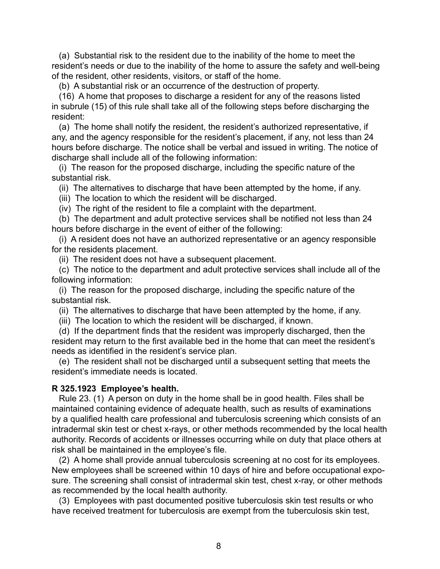(a) Substantial risk to the resident due to the inability of the home to meet the resident's needs or due to the inability of the home to assure the safety and well-being of the resident, other residents, visitors, or staff of the home.

(b) A substantial risk or an occurrence of the destruction of property.

 (16) A home that proposes to discharge a resident for any of the reasons listed in subrule (15) of this rule shall take all of the following steps before discharging the resident:

 (a) The home shall notify the resident, the resident's authorized representative, if any, and the agency responsible for the resident's placement, if any, not less than 24 hours before discharge. The notice shall be verbal and issued in writing. The notice of discharge shall include all of the following information:

 (i) The reason for the proposed discharge, including the specific nature of the substantial risk.

(ii) The alternatives to discharge that have been attempted by the home, if any.

(iii) The location to which the resident will be discharged.

(iv) The right of the resident to file a complaint with the department.

 (b) The department and adult protective services shall be notified not less than 24 hours before discharge in the event of either of the following:

 (i) A resident does not have an authorized representative or an agency responsible for the residents placement.

(ii) The resident does not have a subsequent placement.

 (c) The notice to the department and adult protective services shall include all of the following information:

 (i) The reason for the proposed discharge, including the specific nature of the substantial risk.

(ii) The alternatives to discharge that have been attempted by the home, if any.

(iii) The location to which the resident will be discharged, if known.

 (d) If the department finds that the resident was improperly discharged, then the resident may return to the first available bed in the home that can meet the resident's needs as identified in the resident's service plan.

 (e) The resident shall not be discharged until a subsequent setting that meets the resident's immediate needs is located.

# **R 325.1923 Employee's health.**

 Rule 23. (1) A person on duty in the home shall be in good health. Files shall be maintained containing evidence of adequate health, such as results of examinations by a qualified health care professional and tuberculosis screening which consists of an intradermal skin test or chest x-rays, or other methods recommended by the local health authority. Records of accidents or illnesses occurring while on duty that place others at risk shall be maintained in the employee's file.

 (2) A home shall provide annual tuberculosis screening at no cost for its employees. New employees shall be screened within 10 days of hire and before occupational exposure. The screening shall consist of intradermal skin test, chest x-ray, or other methods as recommended by the local health authority.

 (3) Employees with past documented positive tuberculosis skin test results or who have received treatment for tuberculosis are exempt from the tuberculosis skin test,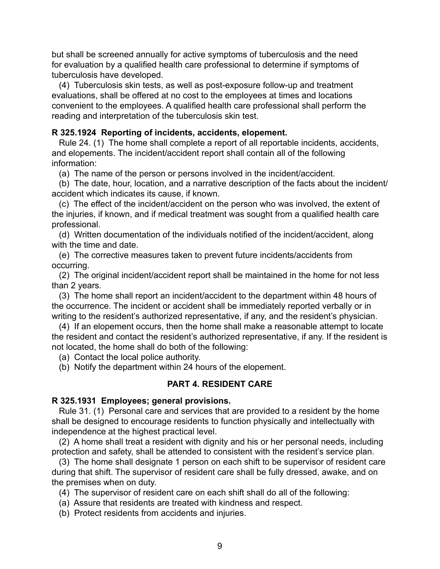but shall be screened annually for active symptoms of tuberculosis and the need for evaluation by a qualified health care professional to determine if symptoms of tuberculosis have developed.

 (4) Tuberculosis skin tests, as well as post-exposure follow-up and treatment evaluations, shall be offered at no cost to the employees at times and locations convenient to the employees. A qualified health care professional shall perform the reading and interpretation of the tuberculosis skin test.

#### **R 325.1924 Reporting of incidents, accidents, elopement.**

 Rule 24. (1) The home shall complete a report of all reportable incidents, accidents, and elopements. The incident/accident report shall contain all of the following information:

(a) The name of the person or persons involved in the incident/accident.

 (b) The date, hour, location, and a narrative description of the facts about the incident/ accident which indicates its cause, if known.

 (c) The effect of the incident/accident on the person who was involved, the extent of the injuries, if known, and if medical treatment was sought from a qualified health care professional.

 (d) Written documentation of the individuals notified of the incident/accident, along with the time and date.

 (e) The corrective measures taken to prevent future incidents/accidents from occurring.

 (2) The original incident/accident report shall be maintained in the home for not less than 2 years.

 (3) The home shall report an incident/accident to the department within 48 hours of the occurrence. The incident or accident shall be immediately reported verbally or in writing to the resident's authorized representative, if any, and the resident's physician.

 (4) If an elopement occurs, then the home shall make a reasonable attempt to locate the resident and contact the resident's authorized representative, if any. If the resident is not located, the home shall do both of the following:

(a) Contact the local police authority.

(b) Notify the department within 24 hours of the elopement.

#### **PART 4. RESIDENT CARE**

#### **R 325.1931 Employees; general provisions.**

 Rule 31. (1) Personal care and services that are provided to a resident by the home shall be designed to encourage residents to function physically and intellectually with independence at the highest practical level.

 (2) A home shall treat a resident with dignity and his or her personal needs, including protection and safety, shall be attended to consistent with the resident's service plan.

 (3) The home shall designate 1 person on each shift to be supervisor of resident care during that shift. The supervisor of resident care shall be fully dressed, awake, and on the premises when on duty.

(4) The supervisor of resident care on each shift shall do all of the following:

- (a) Assure that residents are treated with kindness and respect.
- (b) Protect residents from accidents and injuries.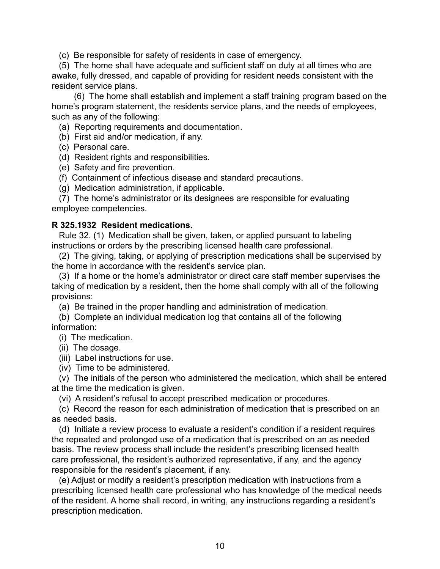(c) Be responsible for safety of residents in case of emergency.

 (5) The home shall have adequate and sufficient staff on duty at all times who are awake, fully dressed, and capable of providing for resident needs consistent with the resident service plans.

(6) The home shall establish and implement a staff training program based on the home's program statement, the residents service plans, and the needs of employees, such as any of the following:

(a) Reporting requirements and documentation.

- (b) First aid and/or medication, if any.
- (c) Personal care.
- (d) Resident rights and responsibilities.
- (e) Safety and fire prevention.
- (f) Containment of infectious disease and standard precautions.
- (g) Medication administration, if applicable.

 (7) The home's administrator or its designees are responsible for evaluating employee competencies.

#### **R 325.1932 Resident medications.**

 Rule 32. (1) Medication shall be given, taken, or applied pursuant to labeling instructions or orders by the prescribing licensed health care professional.

 (2) The giving, taking, or applying of prescription medications shall be supervised by the home in accordance with the resident's service plan.

 (3) If a home or the home's administrator or direct care staff member supervises the taking of medication by a resident, then the home shall comply with all of the following provisions:

(a) Be trained in the proper handling and administration of medication.

 (b) Complete an individual medication log that contains all of the following information:

(i) The medication.

(ii) The dosage.

(iii) Label instructions for use.

(iv) Time to be administered.

 (v) The initials of the person who administered the medication, which shall be entered at the time the medication is given.

(vi) A resident's refusal to accept prescribed medication or procedures.

 (c) Record the reason for each administration of medication that is prescribed on an as needed basis.

 (d) Initiate a review process to evaluate a resident's condition if a resident requires the repeated and prolonged use of a medication that is prescribed on an as needed basis. The review process shall include the resident's prescribing licensed health care professional, the resident's authorized representative, if any, and the agency responsible for the resident's placement, if any.

 (e) Adjust or modify a resident's prescription medication with instructions from a prescribing licensed health care professional who has knowledge of the medical needs of the resident. A home shall record, in writing, any instructions regarding a resident's prescription medication.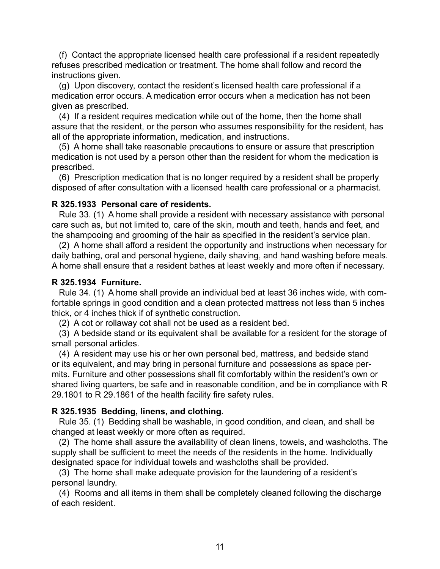(f) Contact the appropriate licensed health care professional if a resident repeatedly refuses prescribed medication or treatment. The home shall follow and record the instructions given.

 (g) Upon discovery, contact the resident's licensed health care professional if a medication error occurs. A medication error occurs when a medication has not been given as prescribed.

 (4) If a resident requires medication while out of the home, then the home shall assure that the resident, or the person who assumes responsibility for the resident, has all of the appropriate information, medication, and instructions.

 (5) A home shall take reasonable precautions to ensure or assure that prescription medication is not used by a person other than the resident for whom the medication is prescribed.

 (6) Prescription medication that is no longer required by a resident shall be properly disposed of after consultation with a licensed health care professional or a pharmacist.

#### **R 325.1933 Personal care of residents.**

 Rule 33. (1) A home shall provide a resident with necessary assistance with personal care such as, but not limited to, care of the skin, mouth and teeth, hands and feet, and the shampooing and grooming of the hair as specified in the resident's service plan.

 (2) A home shall afford a resident the opportunity and instructions when necessary for daily bathing, oral and personal hygiene, daily shaving, and hand washing before meals. A home shall ensure that a resident bathes at least weekly and more often if necessary.

#### **R 325.1934 Furniture.**

 Rule 34. (1) A home shall provide an individual bed at least 36 inches wide, with comfortable springs in good condition and a clean protected mattress not less than 5 inches thick, or 4 inches thick if of synthetic construction.

(2) A cot or rollaway cot shall not be used as a resident bed.

 (3) A bedside stand or its equivalent shall be available for a resident for the storage of small personal articles.

 (4) A resident may use his or her own personal bed, mattress, and bedside stand or its equivalent, and may bring in personal furniture and possessions as space permits. Furniture and other possessions shall fit comfortably within the resident's own or shared living quarters, be safe and in reasonable condition, and be in compliance with R 29.1801 to R 29.1861 of the health facility fire safety rules.

#### **R 325.1935 Bedding, linens, and clothing.**

 Rule 35. (1) Bedding shall be washable, in good condition, and clean, and shall be changed at least weekly or more often as required.

 (2) The home shall assure the availability of clean linens, towels, and washcloths. The supply shall be sufficient to meet the needs of the residents in the home. Individually designated space for individual towels and washcloths shall be provided.

 (3) The home shall make adequate provision for the laundering of a resident's personal laundry.

 (4) Rooms and all items in them shall be completely cleaned following the discharge of each resident.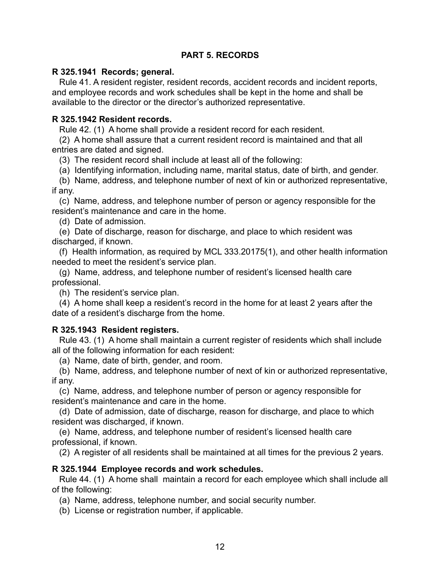# **PART 5. RECORDS**

# **R 325.1941 Records; general.**

 Rule 41. A resident register, resident records, accident records and incident reports, and employee records and work schedules shall be kept in the home and shall be available to the director or the director's authorized representative.

# **R 325.1942 Resident records.**

Rule 42. (1) A home shall provide a resident record for each resident.

 (2) A home shall assure that a current resident record is maintained and that all entries are dated and signed.

(3) The resident record shall include at least all of the following:

(a) Identifying information, including name, marital status, date of birth, and gender.

 (b) Name, address, and telephone number of next of kin or authorized representative, if any.

 (c) Name, address, and telephone number of person or agency responsible for the resident's maintenance and care in the home.

(d) Date of admission.

 (e) Date of discharge, reason for discharge, and place to which resident was discharged, if known.

 (f) Health information, as required by MCL 333.20175(1), and other health information needed to meet the resident's service plan.

 (g) Name, address, and telephone number of resident's licensed health care professional.

(h) The resident's service plan.

 (4) A home shall keep a resident's record in the home for at least 2 years after the date of a resident's discharge from the home.

# **R 325.1943 Resident registers.**

 Rule 43. (1) A home shall maintain a current register of residents which shall include all of the following information for each resident:

(a) Name, date of birth, gender, and room.

 (b) Name, address, and telephone number of next of kin or authorized representative, if any.

 (c) Name, address, and telephone number of person or agency responsible for resident's maintenance and care in the home.

 (d) Date of admission, date of discharge, reason for discharge, and place to which resident was discharged, if known.

 (e) Name, address, and telephone number of resident's licensed health care professional, if known.

(2) A register of all residents shall be maintained at all times for the previous 2 years.

# **R 325.1944 Employee records and work schedules.**

 Rule 44. (1) A home shall maintain a record for each employee which shall include all of the following:

(a) Name, address, telephone number, and social security number.

(b) License or registration number, if applicable.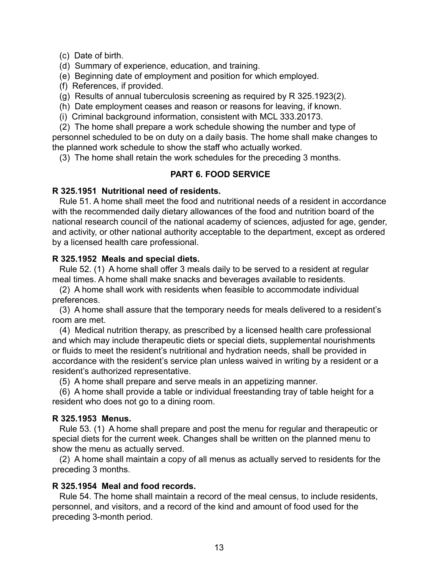(c) Date of birth.

(d) Summary of experience, education, and training.

(e) Beginning date of employment and position for which employed.

(f) References, if provided.

(g) Results of annual tuberculosis screening as required by R 325.1923(2).

- (h) Date employment ceases and reason or reasons for leaving, if known.
- (i) Criminal background information, consistent with MCL 333.20173.

 (2) The home shall prepare a work schedule showing the number and type of personnel scheduled to be on duty on a daily basis. The home shall make changes to the planned work schedule to show the staff who actually worked.

(3) The home shall retain the work schedules for the preceding 3 months.

# **PART 6. FOOD SERVICE**

# **R 325.1951 Nutritional need of residents.**

 Rule 51. A home shall meet the food and nutritional needs of a resident in accordance with the recommended daily dietary allowances of the food and nutrition board of the national research council of the national academy of sciences, adjusted for age, gender, and activity, or other national authority acceptable to the department, except as ordered by a licensed health care professional.

# **R 325.1952 Meals and special diets.**

 Rule 52. (1) A home shall offer 3 meals daily to be served to a resident at regular meal times. A home shall make snacks and beverages available to residents.

 (2) A home shall work with residents when feasible to accommodate individual preferences.

 (3) A home shall assure that the temporary needs for meals delivered to a resident's room are met.

 (4) Medical nutrition therapy, as prescribed by a licensed health care professional and which may include therapeutic diets or special diets, supplemental nourishments or fluids to meet the resident's nutritional and hydration needs, shall be provided in accordance with the resident's service plan unless waived in writing by a resident or a resident's authorized representative.

(5) A home shall prepare and serve meals in an appetizing manner.

 (6) A home shall provide a table or individual freestanding tray of table height for a resident who does not go to a dining room.

# **R 325.1953 Menus.**

 Rule 53. (1) A home shall prepare and post the menu for regular and therapeutic or special diets for the current week. Changes shall be written on the planned menu to show the menu as actually served.

 (2) A home shall maintain a copy of all menus as actually served to residents for the preceding 3 months.

# **R 325.1954 Meal and food records.**

 Rule 54. The home shall maintain a record of the meal census, to include residents, personnel, and visitors, and a record of the kind and amount of food used for the preceding 3-month period.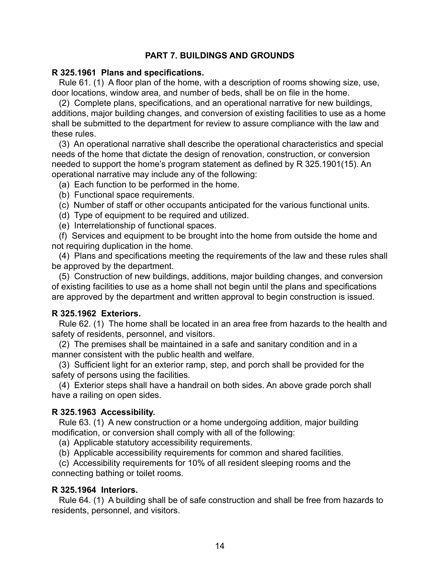# **PART 7. BUILDINGS AND GROUNDS**

#### **R 325.1961 Plans and specifications.**

 Rule 61. (1) A floor plan of the home, with a description of rooms showing size, use, door locations, window area, and number of beds, shall be on file in the home.

 (2) Complete plans, specifications, and an operational narrative for new buildings, additions, major building changes, and conversion of existing facilities to use as a home shall be submitted to the department for review to assure compliance with the law and these rules.

 (3) An operational narrative shall describe the operational characteristics and special needs of the home that dictate the design of renovation, construction, or conversion needed to support the home's program statement as defined by R 325.1901(15). An operational narrative may include any of the following:

(a) Each function to be performed in the home.

- (b) Functional space requirements.
- (c) Number of staff or other occupants anticipated for the various functional units.
- (d) Type of equipment to be required and utilized.
- (e) Interrelationship of functional spaces.

 (f) Services and equipment to be brought into the home from outside the home and not requiring duplication in the home.

 (4) Plans and specifications meeting the requirements of the law and these rules shall be approved by the department.

 (5) Construction of new buildings, additions, major building changes, and conversion of existing facilities to use as a home shall not begin until the plans and specifications are approved by the department and written approval to begin construction is issued.

# **R 325.1962 Exteriors.**

 Rule 62. (1) The home shall be located in an area free from hazards to the health and safety of residents, personnel, and visitors.

 (2) The premises shall be maintained in a safe and sanitary condition and in a manner consistent with the public health and welfare.

 (3) Sufficient light for an exterior ramp, step, and porch shall be provided for the safety of persons using the facilities.

 (4) Exterior steps shall have a handrail on both sides. An above grade porch shall have a railing on open sides.

# **R 325.1963 Accessibility.**

 Rule 63. (1) A new construction or a home undergoing addition, major building modification, or conversion shall comply with all of the following:

(a) Applicable statutory accessibility requirements.

(b) Applicable accessibility requirements for common and shared facilities.

 (c) Accessibility requirements for 10% of all resident sleeping rooms and the connecting bathing or toilet rooms.

# **R 325.1964 Interiors.**

 Rule 64. (1) A building shall be of safe construction and shall be free from hazards to residents, personnel, and visitors.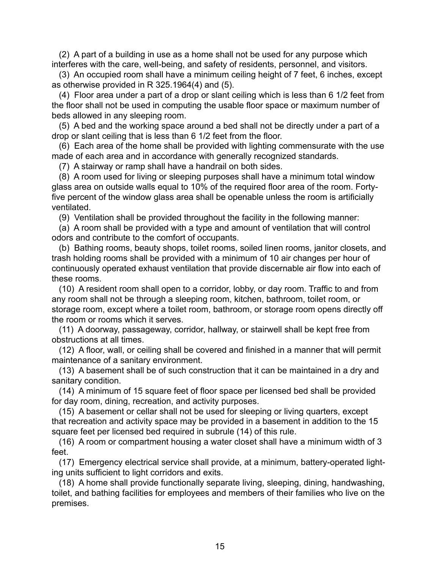(2) A part of a building in use as a home shall not be used for any purpose which interferes with the care, well-being, and safety of residents, personnel, and visitors.

 (3) An occupied room shall have a minimum ceiling height of 7 feet, 6 inches, except as otherwise provided in R 325.1964(4) and (5).

 (4) Floor area under a part of a drop or slant ceiling which is less than 6 1/2 feet from the floor shall not be used in computing the usable floor space or maximum number of beds allowed in any sleeping room.

 (5) A bed and the working space around a bed shall not be directly under a part of a drop or slant ceiling that is less than 6 1/2 feet from the floor.

 (6) Each area of the home shall be provided with lighting commensurate with the use made of each area and in accordance with generally recognized standards.

(7) A stairway or ramp shall have a handrail on both sides.

 (8) A room used for living or sleeping purposes shall have a minimum total window glass area on outside walls equal to 10% of the required floor area of the room. Fortyfive percent of the window glass area shall be openable unless the room is artificially ventilated.

(9) Ventilation shall be provided throughout the facility in the following manner:

 (a) A room shall be provided with a type and amount of ventilation that will control odors and contribute to the comfort of occupants.

 (b) Bathing rooms, beauty shops, toilet rooms, soiled linen rooms, janitor closets, and trash holding rooms shall be provided with a minimum of 10 air changes per hour of continuously operated exhaust ventilation that provide discernable air flow into each of these rooms.

 (10) A resident room shall open to a corridor, lobby, or day room. Traffic to and from any room shall not be through a sleeping room, kitchen, bathroom, toilet room, or storage room, except where a toilet room, bathroom, or storage room opens directly off the room or rooms which it serves.

 (11) A doorway, passageway, corridor, hallway, or stairwell shall be kept free from obstructions at all times.

 (12) A floor, wall, or ceiling shall be covered and finished in a manner that will permit maintenance of a sanitary environment.

 (13) A basement shall be of such construction that it can be maintained in a dry and sanitary condition.

 (14) A minimum of 15 square feet of floor space per licensed bed shall be provided for day room, dining, recreation, and activity purposes.

 (15) A basement or cellar shall not be used for sleeping or living quarters, except that recreation and activity space may be provided in a basement in addition to the 15 square feet per licensed bed required in subrule (14) of this rule.

 (16) A room or compartment housing a water closet shall have a minimum width of 3 feet.

 (17) Emergency electrical service shall provide, at a minimum, battery-operated lighting units sufficient to light corridors and exits.

 (18) A home shall provide functionally separate living, sleeping, dining, handwashing, toilet, and bathing facilities for employees and members of their families who live on the premises.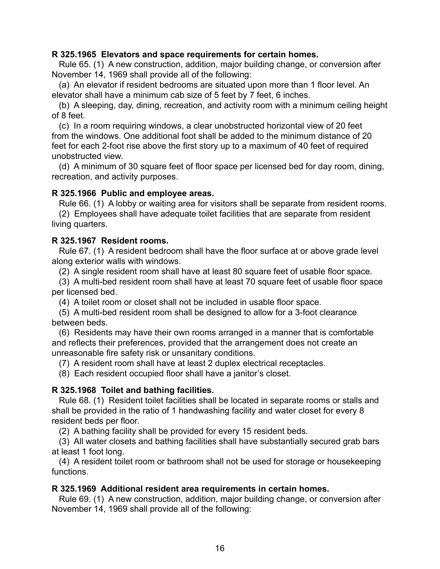#### **R 325.1965 Elevators and space requirements for certain homes.**

 Rule 65. (1) A new construction, addition, major building change, or conversion after November 14, 1969 shall provide all of the following:

 (a) An elevator if resident bedrooms are situated upon more than 1 floor level. An elevator shall have a minimum cab size of 5 feet by 7 feet, 6 inches.

 (b) A sleeping, day, dining, recreation, and activity room with a minimum ceiling height of 8 feet.

 (c) In a room requiring windows, a clear unobstructed horizontal view of 20 feet from the windows. One additional foot shall be added to the minimum distance of 20 feet for each 2-foot rise above the first story up to a maximum of 40 feet of required unobstructed view.

 (d) A minimum of 30 square feet of floor space per licensed bed for day room, dining, recreation, and activity purposes.

#### **R 325.1966 Public and employee areas.**

Rule 66. (1) A lobby or waiting area for visitors shall be separate from resident rooms.

 (2) Employees shall have adequate toilet facilities that are separate from resident living quarters.

# **R 325.1967 Resident rooms.**

 Rule 67. (1) A resident bedroom shall have the floor surface at or above grade level along exterior walls with windows.

(2) A single resident room shall have at least 80 square feet of usable floor space.

 (3) A multi-bed resident room shall have at least 70 square feet of usable floor space per licensed bed.

(4) A toilet room or closet shall not be included in usable floor space.

 (5) A multi-bed resident room shall be designed to allow for a 3-foot clearance between beds.

 (6) Residents may have their own rooms arranged in a manner that is comfortable and reflects their preferences, provided that the arrangement does not create an unreasonable fire safety risk or unsanitary conditions.

(7) A resident room shall have at least 2 duplex electrical receptacles.

(8) Each resident occupied floor shall have a janitor's closet.

# **R 325.1968 Toilet and bathing facilities.**

 Rule 68. (1) Resident toilet facilities shall be located in separate rooms or stalls and shall be provided in the ratio of 1 handwashing facility and water closet for every 8 resident beds per floor.

(2) A bathing facility shall be provided for every 15 resident beds.

 (3) All water closets and bathing facilities shall have substantially secured grab bars at least 1 foot long.

 (4) A resident toilet room or bathroom shall not be used for storage or housekeeping functions.

# **R 325.1969 Additional resident area requirements in certain homes.**

 Rule 69. (1) A new construction, addition, major building change, or conversion after November 14, 1969 shall provide all of the following: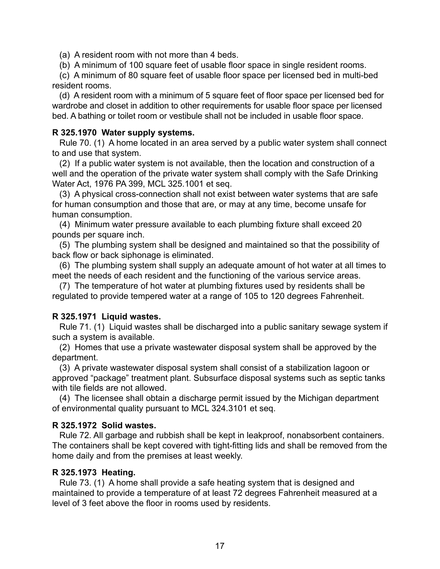(a) A resident room with not more than 4 beds.

(b) A minimum of 100 square feet of usable floor space in single resident rooms.

 (c) A minimum of 80 square feet of usable floor space per licensed bed in multi-bed resident rooms.

 (d) A resident room with a minimum of 5 square feet of floor space per licensed bed for wardrobe and closet in addition to other requirements for usable floor space per licensed bed. A bathing or toilet room or vestibule shall not be included in usable floor space.

#### **R 325.1970 Water supply systems.**

 Rule 70. (1) A home located in an area served by a public water system shall connect to and use that system.

 (2) If a public water system is not available, then the location and construction of a well and the operation of the private water system shall comply with the Safe Drinking Water Act, 1976 PA 399, MCL 325.1001 et seq.

 (3) A physical cross-connection shall not exist between water systems that are safe for human consumption and those that are, or may at any time, become unsafe for human consumption.

 (4) Minimum water pressure available to each plumbing fixture shall exceed 20 pounds per square inch.

 (5) The plumbing system shall be designed and maintained so that the possibility of back flow or back siphonage is eliminated.

 (6) The plumbing system shall supply an adequate amount of hot water at all times to meet the needs of each resident and the functioning of the various service areas.

 (7) The temperature of hot water at plumbing fixtures used by residents shall be regulated to provide tempered water at a range of 105 to 120 degrees Fahrenheit.

# **R 325.1971 Liquid wastes.**

 Rule 71. (1) Liquid wastes shall be discharged into a public sanitary sewage system if such a system is available.

 (2) Homes that use a private wastewater disposal system shall be approved by the department.

 (3) A private wastewater disposal system shall consist of a stabilization lagoon or approved "package" treatment plant. Subsurface disposal systems such as septic tanks with tile fields are not allowed.

 (4) The licensee shall obtain a discharge permit issued by the Michigan department of environmental quality pursuant to MCL 324.3101 et seq.

# **R 325.1972 Solid wastes.**

 Rule 72. All garbage and rubbish shall be kept in leakproof, nonabsorbent containers. The containers shall be kept covered with tight-fitting lids and shall be removed from the home daily and from the premises at least weekly.

# **R 325.1973 Heating.**

 Rule 73. (1) A home shall provide a safe heating system that is designed and maintained to provide a temperature of at least 72 degrees Fahrenheit measured at a level of 3 feet above the floor in rooms used by residents.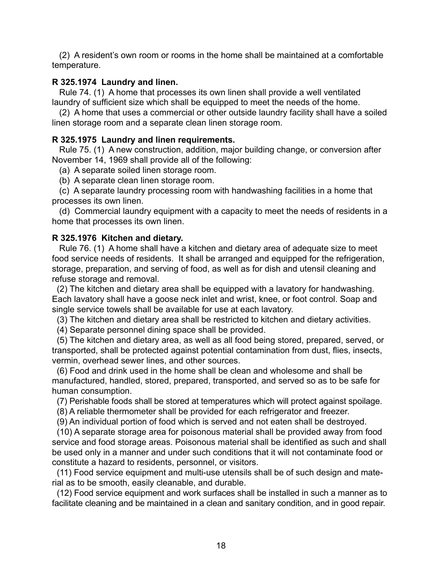(2) A resident's own room or rooms in the home shall be maintained at a comfortable temperature.

# **R 325.1974 Laundry and linen.**

 Rule 74. (1) A home that processes its own linen shall provide a well ventilated laundry of sufficient size which shall be equipped to meet the needs of the home.

 (2) A home that uses a commercial or other outside laundry facility shall have a soiled linen storage room and a separate clean linen storage room.

#### **R 325.1975 Laundry and linen requirements.**

 Rule 75. (1) A new construction, addition, major building change, or conversion after November 14, 1969 shall provide all of the following:

(a) A separate soiled linen storage room.

(b) A separate clean linen storage room.

 (c) A separate laundry processing room with handwashing facilities in a home that processes its own linen.

 (d) Commercial laundry equipment with a capacity to meet the needs of residents in a home that processes its own linen.

#### **R 325.1976 Kitchen and dietary.**

 Rule 76. (1) A home shall have a kitchen and dietary area of adequate size to meet food service needs of residents. It shall be arranged and equipped for the refrigeration, storage, preparation, and serving of food, as well as for dish and utensil cleaning and refuse storage and removal.

 (2) The kitchen and dietary area shall be equipped with a lavatory for handwashing. Each lavatory shall have a goose neck inlet and wrist, knee, or foot control. Soap and single service towels shall be available for use at each lavatory.

(3) The kitchen and dietary area shall be restricted to kitchen and dietary activities.

(4) Separate personnel dining space shall be provided.

 (5) The kitchen and dietary area, as well as all food being stored, prepared, served, or transported, shall be protected against potential contamination from dust, flies, insects, vermin, overhead sewer lines, and other sources.

 (6) Food and drink used in the home shall be clean and wholesome and shall be manufactured, handled, stored, prepared, transported, and served so as to be safe for human consumption.

(7) Perishable foods shall be stored at temperatures which will protect against spoilage.

(8) A reliable thermometer shall be provided for each refrigerator and freezer.

(9) An individual portion of food which is served and not eaten shall be destroyed.

 (10) A separate storage area for poisonous material shall be provided away from food service and food storage areas. Poisonous material shall be identified as such and shall be used only in a manner and under such conditions that it will not contaminate food or constitute a hazard to residents, personnel, or visitors.

 (11) Food service equipment and multi-use utensils shall be of such design and material as to be smooth, easily cleanable, and durable.

 (12) Food service equipment and work surfaces shall be installed in such a manner as to facilitate cleaning and be maintained in a clean and sanitary condition, and in good repair.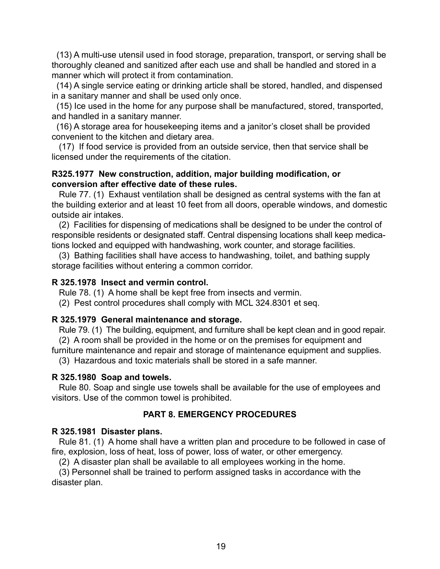(13) A multi-use utensil used in food storage, preparation, transport, or serving shall be thoroughly cleaned and sanitized after each use and shall be handled and stored in a manner which will protect it from contamination.

 (14) A single service eating or drinking article shall be stored, handled, and dispensed in a sanitary manner and shall be used only once.

 (15) Ice used in the home for any purpose shall be manufactured, stored, transported, and handled in a sanitary manner.

 (16) A storage area for housekeeping items and a janitor's closet shall be provided convenient to the kitchen and dietary area.

 (17) If food service is provided from an outside service, then that service shall be licensed under the requirements of the citation.

#### **R325.1977 New construction, addition, major building modification, or conversion after effective date of these rules.**

 Rule 77. (1) Exhaust ventilation shall be designed as central systems with the fan at the building exterior and at least 10 feet from all doors, operable windows, and domestic outside air intakes.

 (2) Facilities for dispensing of medications shall be designed to be under the control of responsible residents or designated staff. Central dispensing locations shall keep medications locked and equipped with handwashing, work counter, and storage facilities.

 (3) Bathing facilities shall have access to handwashing, toilet, and bathing supply storage facilities without entering a common corridor.

#### **R 325.1978 Insect and vermin control.**

Rule 78. (1) A home shall be kept free from insects and vermin.

(2) Pest control procedures shall comply with MCL 324.8301 et seq.

# **R 325.1979 General maintenance and storage.**

 Rule 79. (1) The building, equipment, and furniture shall be kept clean and in good repair. (2) A room shall be provided in the home or on the premises for equipment and

furniture maintenance and repair and storage of maintenance equipment and supplies.

(3) Hazardous and toxic materials shall be stored in a safe manner.

# **R 325.1980 Soap and towels.**

 Rule 80. Soap and single use towels shall be available for the use of employees and visitors. Use of the common towel is prohibited.

# **PART 8. EMERGENCY PROCEDURES**

# **R 325.1981 Disaster plans.**

 Rule 81. (1) A home shall have a written plan and procedure to be followed in case of fire, explosion, loss of heat, loss of power, loss of water, or other emergency.

(2) A disaster plan shall be available to all employees working in the home.

 (3) Personnel shall be trained to perform assigned tasks in accordance with the disaster plan.